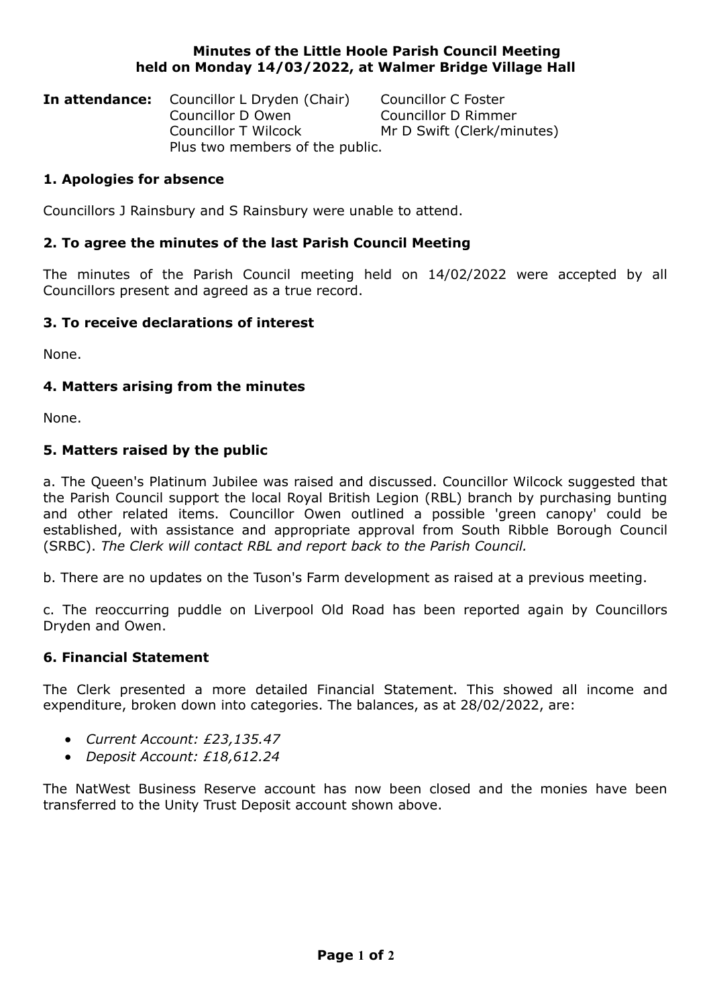## **Minutes of the Little Hoole Parish Council Meeting held on Monday 14/03/2022, at Walmer Bridge Village Hall**

| <b>In attendance:</b> Councillor L Dryden (Chair) | Councillor C Foster        |
|---------------------------------------------------|----------------------------|
| Councillor D Owen                                 | Councillor D Rimmer        |
| Councillor T Wilcock                              | Mr D Swift (Clerk/minutes) |
| Plus two members of the public.                   |                            |

# **1. Apologies for absence**

Councillors J Rainsbury and S Rainsbury were unable to attend.

## **2. To agree the minutes of the last Parish Council Meeting**

The minutes of the Parish Council meeting held on 14/02/2022 were accepted by all Councillors present and agreed as a true record.

## **3. To receive declarations of interest**

None.

## **4. Matters arising from the minutes**

None.

## **5. Matters raised by the public**

a. The Queen's Platinum Jubilee was raised and discussed. Councillor Wilcock suggested that the Parish Council support the local Royal British Legion (RBL) branch by purchasing bunting and other related items. Councillor Owen outlined a possible 'green canopy' could be established, with assistance and appropriate approval from South Ribble Borough Council (SRBC). *The Clerk will contact RBL and report back to the Parish Council.*

b. There are no updates on the Tuson's Farm development as raised at a previous meeting.

c. The reoccurring puddle on Liverpool Old Road has been reported again by Councillors Dryden and Owen.

### **6. Financial Statement**

The Clerk presented a more detailed Financial Statement. This showed all income and expenditure, broken down into categories. The balances, as at 28/02/2022, are:

- *Current Account: £23,135.47*
- *Deposit Account: £18,612.24*

The NatWest Business Reserve account has now been closed and the monies have been transferred to the Unity Trust Deposit account shown above.